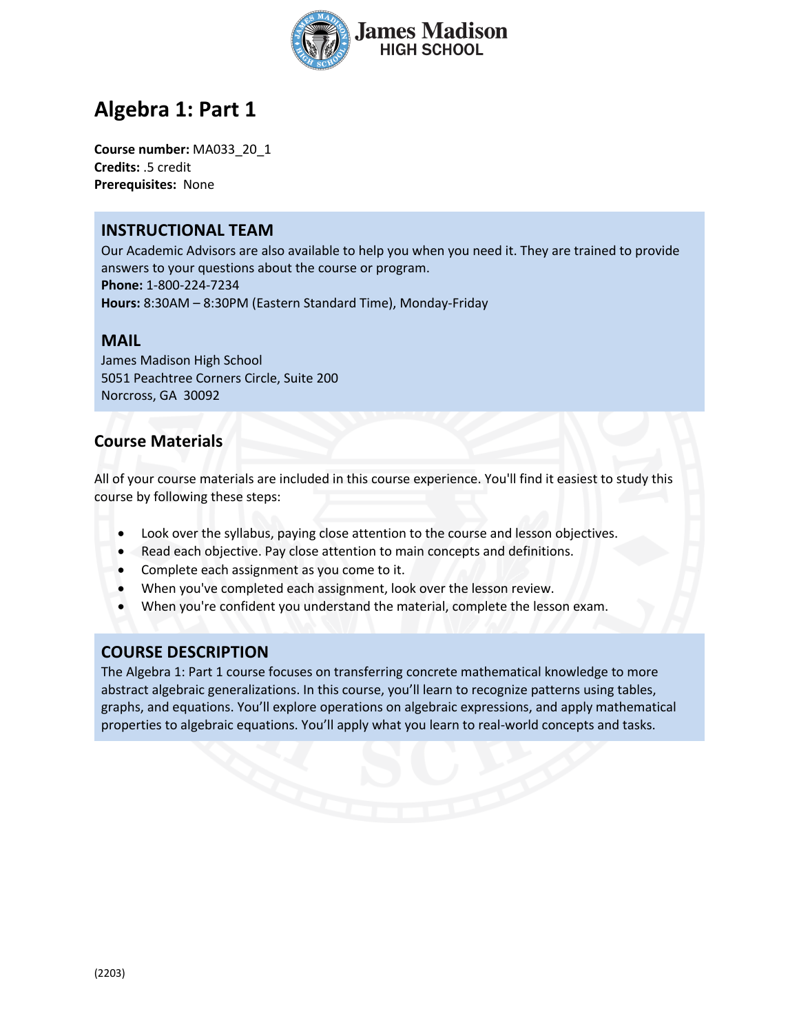

# **Algebra 1: Part 1**

**Course number:** MA033\_20\_1 **Credits:** .5 credit **Prerequisites:** None

### **INSTRUCTIONAL TEAM**

Our Academic Advisors are also available to help you when you need it. They are trained to provide answers to your questions about the course or program. **Phone:** 1-800-224-7234 **Hours:** 8:30AM – 8:30PM (Eastern Standard Time), Monday-Friday

#### **MAIL**

James Madison High School 5051 Peachtree Corners Circle, Suite 200 Norcross, GA 30092

### **Course Materials**

All of your course materials are included in this course experience. You'll find it easiest to study this course by following these steps:

- Look over the syllabus, paying close attention to the course and lesson objectives.
- Read each objective. Pay close attention to main concepts and definitions.
- Complete each assignment as you come to it.
- When you've completed each assignment, look over the lesson review.
- When you're confident you understand the material, complete the lesson exam.

# **COURSE DESCRIPTION**

The Algebra 1: Part 1 course focuses on transferring concrete mathematical knowledge to more abstract algebraic generalizations. In this course, you'll learn to recognize patterns using tables, graphs, and equations. You'll explore operations on algebraic expressions, and apply mathematical properties to algebraic equations. You'll apply what you learn to real-world concepts and tasks.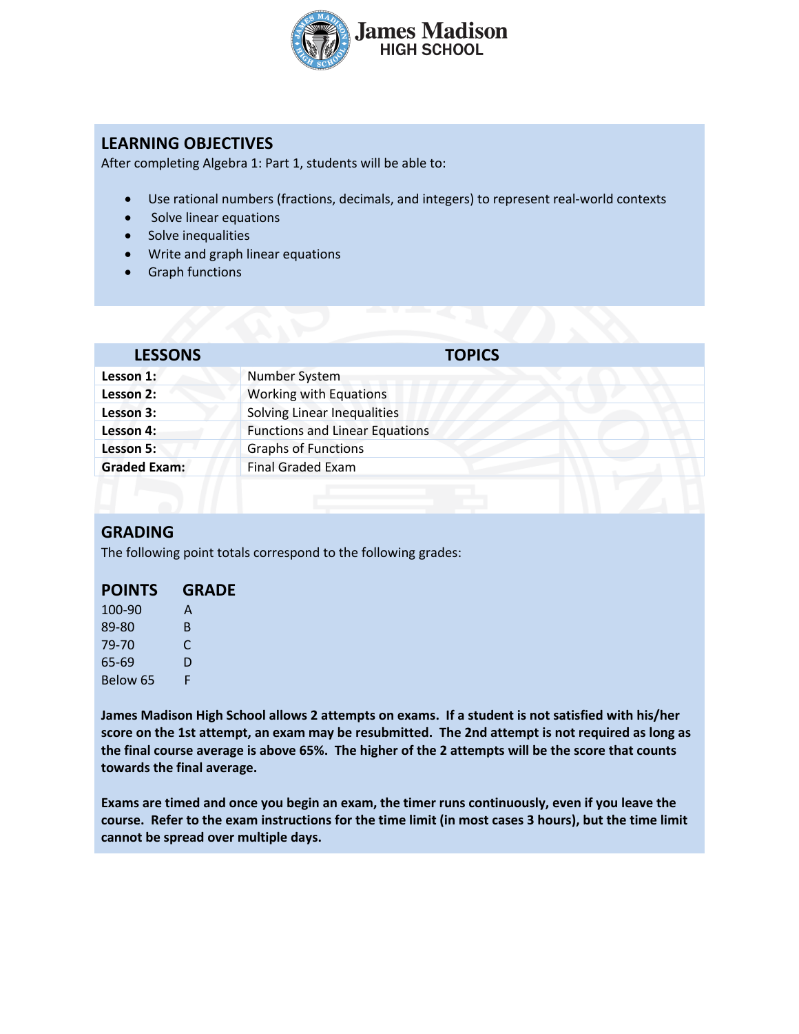

# **LEARNING OBJECTIVES**

After completing Algebra 1: Part 1, students will be able to:

- Use rational numbers (fractions, decimals, and integers) to represent real-world contexts
- Solve linear equations
- Solve inequalities
- Write and graph linear equations
- Graph functions

| <b>LESSONS</b>      | <b>TOPICS</b>                         |
|---------------------|---------------------------------------|
| Lesson 1:           | Number System                         |
| Lesson 2:           | Working with Equations                |
| Lesson 3:           | Solving Linear Inequalities           |
| Lesson 4:           | <b>Functions and Linear Equations</b> |
| Lesson 5:           | <b>Graphs of Functions</b>            |
| <b>Graded Exam:</b> | <b>Final Graded Exam</b>              |
|                     |                                       |

#### **GRADING**

The following point totals correspond to the following grades:

| 100-90   | A  |
|----------|----|
| 89-80    | B. |
| 79-70    | C  |
| 65-69    | D  |
| Below 65 | F  |

**James Madison High School allows 2 attempts on exams. If a student is not satisfied with his/her score on the 1st attempt, an exam may be resubmitted. The 2nd attempt is not required as long as the final course average is above 65%. The higher of the 2 attempts will be the score that counts towards the final average.** 

**Exams are timed and once you begin an exam, the timer runs continuously, even if you leave the course. Refer to the exam instructions for the time limit (in most cases 3 hours), but the time limit cannot be spread over multiple days.**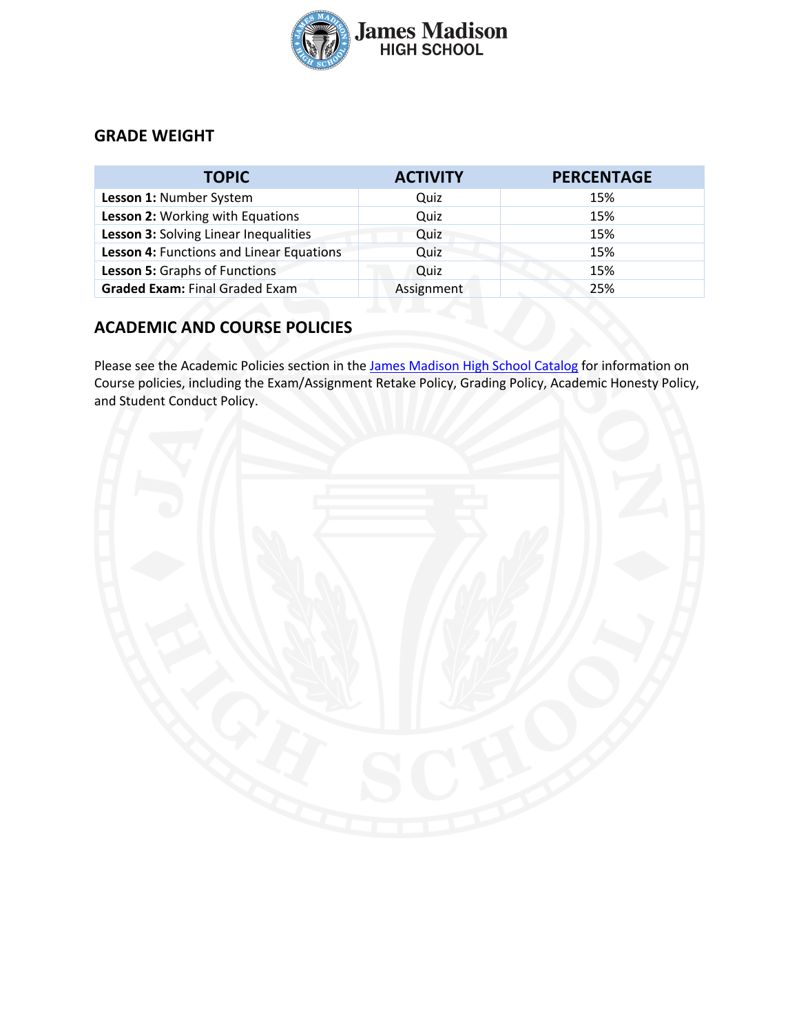

# **GRADE WEIGHT**

| <b>TOPIC</b>                             | <b>ACTIVITY</b> | <b>PERCENTAGE</b> |
|------------------------------------------|-----------------|-------------------|
| Lesson 1: Number System                  | Quiz            | 15%               |
| Lesson 2: Working with Equations         | Quiz            | 15%               |
| Lesson 3: Solving Linear Inequalities    | Quiz            | 15%               |
| Lesson 4: Functions and Linear Equations | Quiz            | 15%               |
| Lesson 5: Graphs of Functions            | Quiz            | 15%               |
| <b>Graded Exam: Final Graded Exam</b>    | Assignment      | 25%               |

# **ACADEMIC AND COURSE POLICIES**

Please see the Academic Policies section in the James Madison High School Catalog for information on Course policies, including the Exam/Assignment Retake Policy, Grading Policy, Academic Honesty Policy, and Student Conduct Policy.

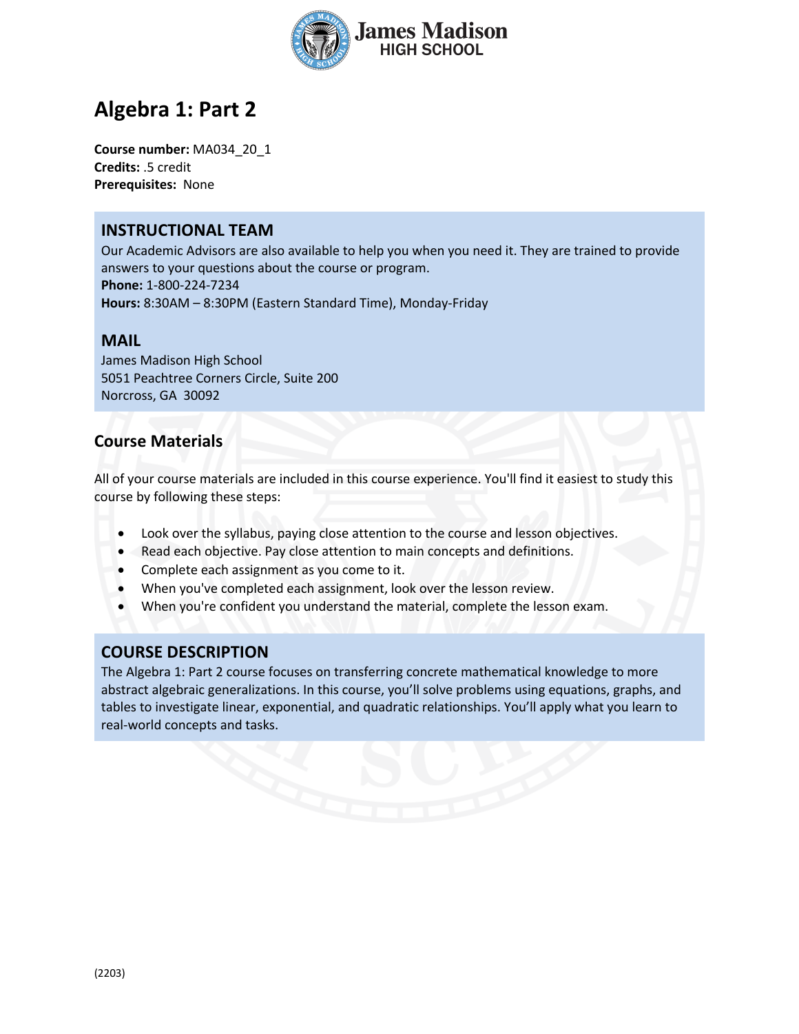

# **Algebra 1: Part 2**

**Course number:** MA034\_20\_1 **Credits:** .5 credit **Prerequisites:** None

#### **INSTRUCTIONAL TEAM**

Our Academic Advisors are also available to help you when you need it. They are trained to provide answers to your questions about the course or program. **Phone:** 1-800-224-7234 **Hours:** 8:30AM – 8:30PM (Eastern Standard Time), Monday-Friday

#### **MAIL**

James Madison High School 5051 Peachtree Corners Circle, Suite 200 Norcross, GA 30092

# **Course Materials**

All of your course materials are included in this course experience. You'll find it easiest to study this course by following these steps:

- Look over the syllabus, paying close attention to the course and lesson objectives.
- Read each objective. Pay close attention to main concepts and definitions.
- Complete each assignment as you come to it.
- When you've completed each assignment, look over the lesson review.
- When you're confident you understand the material, complete the lesson exam.

# **COURSE DESCRIPTION**

The Algebra 1: Part 2 course focuses on transferring concrete mathematical knowledge to more abstract algebraic generalizations. In this course, you'll solve problems using equations, graphs, and tables to investigate linear, exponential, and quadratic relationships. You'll apply what you learn to real-world concepts and tasks.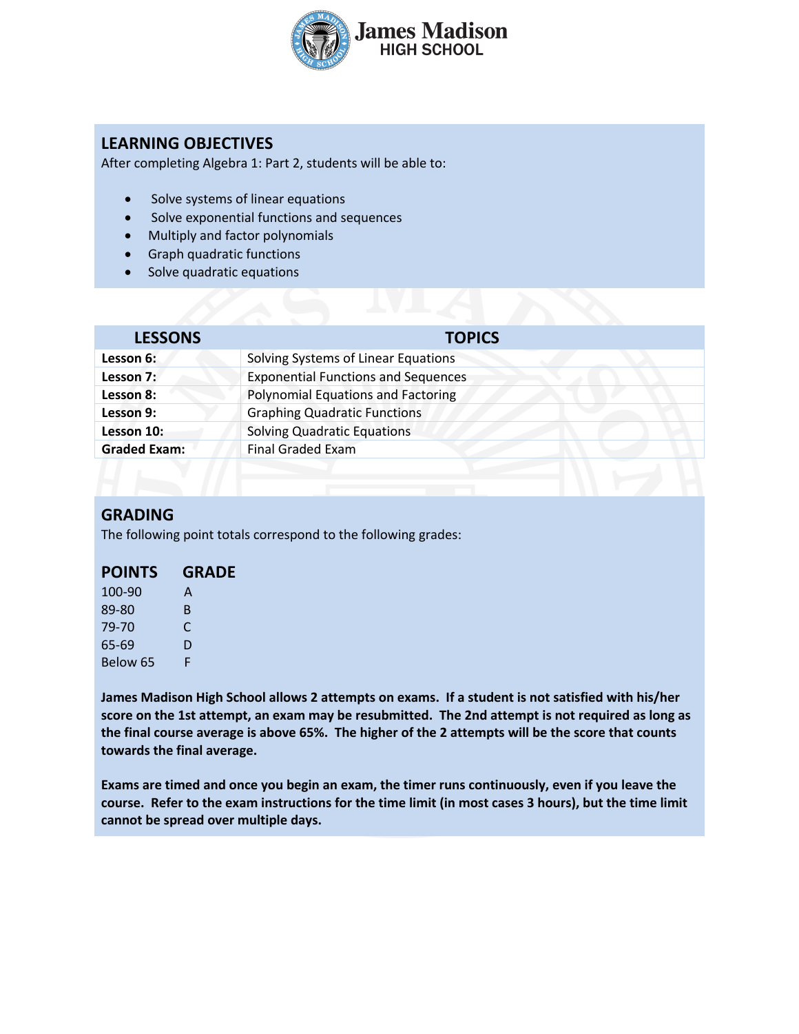

# **LEARNING OBJECTIVES**

After completing Algebra 1: Part 2, students will be able to:

- Solve systems of linear equations
- Solve exponential functions and sequences
- Multiply and factor polynomials
- Graph quadratic functions
- Solve quadratic equations

| <b>LESSONS</b>      | <b>TOPICS</b>                              |  |
|---------------------|--------------------------------------------|--|
| Lesson 6:           | Solving Systems of Linear Equations        |  |
| Lesson 7:           | <b>Exponential Functions and Sequences</b> |  |
| Lesson 8:           | <b>Polynomial Equations and Factoring</b>  |  |
| Lesson 9:           | <b>Graphing Quadratic Functions</b>        |  |
| Lesson 10:          | <b>Solving Quadratic Equations</b>         |  |
| <b>Graded Exam:</b> | <b>Final Graded Exam</b>                   |  |
|                     |                                            |  |

#### **GRADING**

The following point totals correspond to the following grades:

# **POINTS GRADE**

| 100-90   | A  |
|----------|----|
| 89-80    | B. |
| 79-70    | C  |
| 65-69    | D  |
| Below 65 | F  |

**James Madison High School allows 2 attempts on exams. If a student is not satisfied with his/her score on the 1st attempt, an exam may be resubmitted. The 2nd attempt is not required as long as the final course average is above 65%. The higher of the 2 attempts will be the score that counts towards the final average.** 

**Exams are timed and once you begin an exam, the timer runs continuously, even if you leave the course. Refer to the exam instructions for the time limit (in most cases 3 hours), but the time limit cannot be spread over multiple days.**